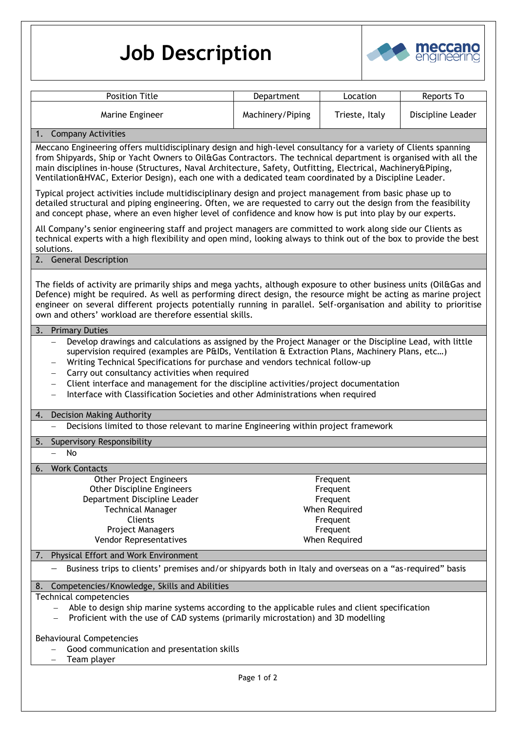## **Job Description**



| <b>Position Title</b>                                                                                                                                                                                                                                                                                                                                                                                                                                         | Department       | Location             | Reports To        |
|---------------------------------------------------------------------------------------------------------------------------------------------------------------------------------------------------------------------------------------------------------------------------------------------------------------------------------------------------------------------------------------------------------------------------------------------------------------|------------------|----------------------|-------------------|
|                                                                                                                                                                                                                                                                                                                                                                                                                                                               |                  |                      |                   |
| Marine Engineer                                                                                                                                                                                                                                                                                                                                                                                                                                               | Machinery/Piping | Trieste, Italy       | Discipline Leader |
| 1. Company Activities                                                                                                                                                                                                                                                                                                                                                                                                                                         |                  |                      |                   |
| Meccano Engineering offers multidisciplinary design and high-level consultancy for a variety of Clients spanning<br>from Shipyards, Ship or Yacht Owners to Oil&Gas Contractors. The technical department is organised with all the<br>main disciplines in-house (Structures, Naval Architecture, Safety, Outfitting, Electrical, Machinery&Piping,<br>Ventilation&HVAC, Exterior Design), each one with a dedicated team coordinated by a Discipline Leader. |                  |                      |                   |
| Typical project activities include multidisciplinary design and project management from basic phase up to<br>detailed structural and piping engineering. Often, we are requested to carry out the design from the feasibility<br>and concept phase, where an even higher level of confidence and know how is put into play by our experts.                                                                                                                    |                  |                      |                   |
| All Company's senior engineering staff and project managers are committed to work along side our Clients as<br>technical experts with a high flexibility and open mind, looking always to think out of the box to provide the best<br>solutions.                                                                                                                                                                                                              |                  |                      |                   |
| 2. General Description                                                                                                                                                                                                                                                                                                                                                                                                                                        |                  |                      |                   |
| The fields of activity are primarily ships and mega yachts, although exposure to other business units (Oil&Gas and<br>Defence) might be required. As well as performing direct design, the resource might be acting as marine project<br>engineer on several different projects potentially running in parallel. Self-organisation and ability to prioritise<br>own and others' workload are therefore essential skills.                                      |                  |                      |                   |
| 3.<br><b>Primary Duties</b>                                                                                                                                                                                                                                                                                                                                                                                                                                   |                  |                      |                   |
| supervision required (examples are P&IDs, Ventilation & Extraction Plans, Machinery Plans, etc)<br>Writing Technical Specifications for purchase and vendors technical follow-up<br>Carry out consultancy activities when required<br>$\qquad \qquad -$<br>Client interface and management for the discipline activities/project documentation<br>$\qquad \qquad -$<br>Interface with Classification Societies and other Administrations when required        |                  |                      |                   |
| Decision Making Authority<br>4.<br>Decisions limited to those relevant to marine Engineering within project framework                                                                                                                                                                                                                                                                                                                                         |                  |                      |                   |
|                                                                                                                                                                                                                                                                                                                                                                                                                                                               |                  |                      |                   |
| 5. Supervisory Responsibility<br>No                                                                                                                                                                                                                                                                                                                                                                                                                           |                  |                      |                   |
|                                                                                                                                                                                                                                                                                                                                                                                                                                                               |                  |                      |                   |
| 6.<br><b>Work Contacts</b>                                                                                                                                                                                                                                                                                                                                                                                                                                    |                  |                      |                   |
| <b>Other Project Engineers</b><br><b>Other Discipline Engineers</b>                                                                                                                                                                                                                                                                                                                                                                                           |                  | Frequent<br>Frequent |                   |
| Department Discipline Leader                                                                                                                                                                                                                                                                                                                                                                                                                                  |                  | Frequent             |                   |
| <b>Technical Manager</b>                                                                                                                                                                                                                                                                                                                                                                                                                                      |                  | When Required        |                   |
| Clients                                                                                                                                                                                                                                                                                                                                                                                                                                                       |                  | Frequent             |                   |
| Project Managers                                                                                                                                                                                                                                                                                                                                                                                                                                              |                  | Frequent             |                   |
| Vendor Representatives                                                                                                                                                                                                                                                                                                                                                                                                                                        |                  |                      |                   |
|                                                                                                                                                                                                                                                                                                                                                                                                                                                               |                  | When Required        |                   |
| Physical Effort and Work Environment<br>7.                                                                                                                                                                                                                                                                                                                                                                                                                    |                  |                      |                   |
| Business trips to clients' premises and/or shipyards both in Italy and overseas on a "as-required" basis                                                                                                                                                                                                                                                                                                                                                      |                  |                      |                   |
| Competencies/Knowledge, Skills and Abilities<br>8.                                                                                                                                                                                                                                                                                                                                                                                                            |                  |                      |                   |
| Technical competencies                                                                                                                                                                                                                                                                                                                                                                                                                                        |                  |                      |                   |
| Able to design ship marine systems according to the applicable rules and client specification<br>Proficient with the use of CAD systems (primarily microstation) and 3D modelling                                                                                                                                                                                                                                                                             |                  |                      |                   |
|                                                                                                                                                                                                                                                                                                                                                                                                                                                               |                  |                      |                   |
| <b>Behavioural Competencies</b><br>Good communication and presentation skills<br>Team player                                                                                                                                                                                                                                                                                                                                                                  |                  |                      |                   |